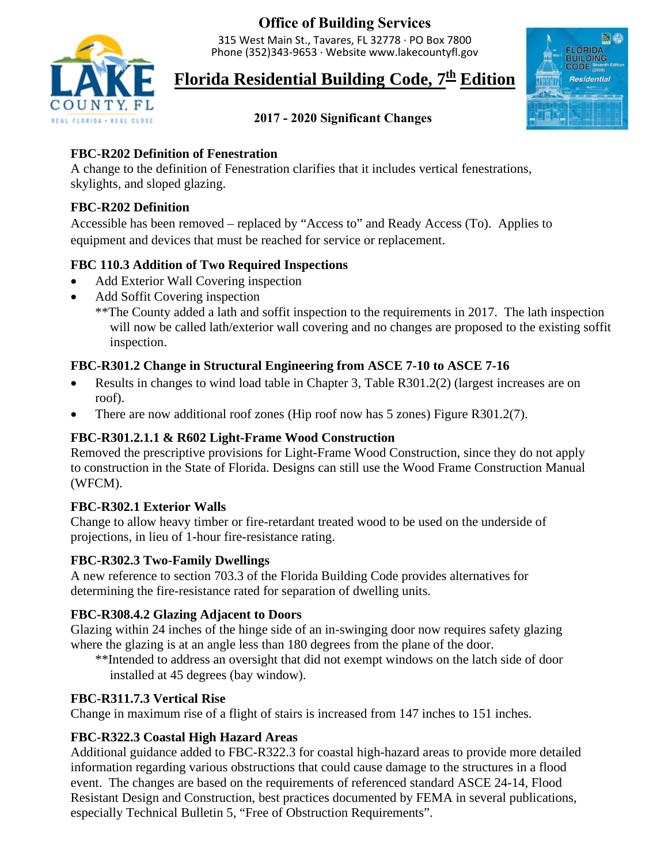**Office of Building Services**

315 West Main St., Tavares, FL 32778 · PO Box 7800 Phone (352)343-9653 · Website<www.lakecountyfl.gov>



# **Florida Residential Building Code, 7 th Edition**



# **2017 - 2020 Significant Changes**

### **FBC-R202 Definition of Fenestration**

A change to the definition of Fenestration clarifies that it includes vertical fenestrations, skylights, and sloped glazing.

#### **FBC-R202 Definition**

Accessible has been removed – replaced by "Access to" and Ready Access (To). Applies to equipment and devices that must be reached for service or replacement.

# **FBC 110.3 Addition of Two Required Inspections**

- Add Exterior Wall Covering inspection
- Add Soffit Covering inspection

\*\*The County added a lath and soffit inspection to the requirements in 2017. The lath inspection will now be called lath/exterior wall covering and no changes are proposed to the existing soffit inspection.

# **FBC-R301.2 Change in Structural Engineering from ASCE 7-10 to ASCE 7-16**

- Results in changes to wind load table in Chapter 3, Table R301.2(2) (largest increases are on roof).
- There are now additional roof zones (Hip roof now has 5 zones) Figure R301.2(7).

# **FBC-R301.2.1.1 & R602 Light-Frame Wood Construction**

Removed the prescriptive provisions for Light-Frame Wood Construction, since they do not apply to construction in the State of Florida. Designs can still use the Wood Frame Construction Manual (WFCM).

# **FBC-R302.1 Exterior Walls**

Change to allow heavy timber or fire-retardant treated wood to be used on the underside of projections, in lieu of 1-hour fire-resistance rating.

# **FBC-R302.3 Two-Family Dwellings**

 determining the fire-resistance rated for separation of dwelling units. A new reference to section 703.3 of the Florida Building Code provides alternatives for

# **FBC-R308.4.2 Glazing Adjacent to Doors**

Glazing within 24 inches of the hinge side of an in-swinging door now requires safety glazing where the glazing is at an angle less than 180 degrees from the plane of the door.

\*\*Intended to address an oversight that did not exempt windows on the latch side of door installed at 45 degrees (bay window).

# **FBC-R311.7.3 Vertical Rise**

Change in maximum rise of a flight of stairs is increased from 147 inches to 151 inches.

# **FBC-R322.3 Coastal High Hazard Areas**

Additional guidance added to FBC-R322.3 for coastal high-hazard areas to provide more detailed information regarding various obstructions that could cause damage to the structures in a flood event. The changes are based on the requirements of referenced standard ASCE 24-14, Flood Resistant Design and Construction, best practices documented by FEMA in several publications, especially Technical Bulletin 5, "Free of Obstruction Requirements".